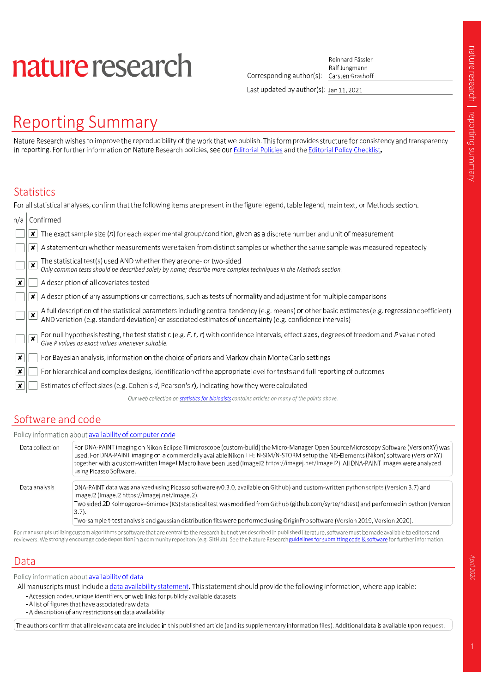# nature research

Reinhard Fässler Corresponding author(s): Carsten Grashoff

Ralf Jungmann

Last updated by author(s): Jan 11, 2021

## **Reporting Summary**

Nature Research wishes to improve the reproducibility of the work that we publish. This form provides structure for consistency and transparency in reporting. For further information on Nature Research policies, see our Editorial Policies and the Editorial Policy Checklist.

#### Statistics

|     | For all statistical analyses, confirm that the following items are present in the figure legend, table legend, main text, or Methods section.                                                                                                             |
|-----|-----------------------------------------------------------------------------------------------------------------------------------------------------------------------------------------------------------------------------------------------------------|
| n/a | Confirmed                                                                                                                                                                                                                                                 |
|     | The exact sample size $(n)$ for each experimental group/condition, given as a discrete number and unit of measurement<br>×                                                                                                                                |
|     | A statement on whether measurements were taken from distinct samples or whether the same sample was measured repeatedly<br>x                                                                                                                              |
|     | The statistical test(s) used AND whether they are one- or two-sided<br>Only common tests should be described solely by name; describe more complex techniques in the Methods section.<br>$\overline{\mathbf{x}}$                                          |
| ∣x∶ | A description of all covariates tested                                                                                                                                                                                                                    |
|     | A description of any assumptions or corrections, such as tests of normality and adjustment for multiple comparisons<br>x                                                                                                                                  |
|     | A full description of the statistical parameters including central tendency (e.g. means) or other basic estimates (e.g. regression coefficient) AND variation (e.g. standard deviation) or associated estimates of uncertainty<br>$\overline{\mathbf{x}}$ |
|     | For null hypothesis testing, the test statistic (e.g. F, t, r) with confidence intervals, effect sizes, degrees of freedom and P value noted<br>$\pmb{\times}$<br>Give P values as exact values whenever suitable.                                        |
| ∣×. | For Bayesian analysis, information on the choice of priors and Markov chain Monte Carlo settings                                                                                                                                                          |
| ∣x∣ | For hierarchical and complex designs, identification of the appropriate level for tests and full reporting of outcomes                                                                                                                                    |
|     | Estimates of effect sizes (e.g. Cohen's $d$ , Pearson's $r$ ), indicating how they were calculated                                                                                                                                                        |
|     | Our web collection on statistics for biologists contains articles on many of the points above.                                                                                                                                                            |
|     |                                                                                                                                                                                                                                                           |

## Software and code

|                 | Policy information about availability of computer code                                                                                                                                                                                                                                                                                                                                                                                          |
|-----------------|-------------------------------------------------------------------------------------------------------------------------------------------------------------------------------------------------------------------------------------------------------------------------------------------------------------------------------------------------------------------------------------------------------------------------------------------------|
| Data collection | For DNA-PAINT imaging on Nikon Eclipse Ti microscope (custom-build) the Micro-Manager Open Source Microscopy Software (VersionXY) was<br>used. For DNA-PAINT imaging on a commercially available Nikon Ti-E N-SIM/N-STORM setup the NIS-Elements (Nikon) software (VersionXY)<br>together with a custom-written ImageJ Macro have been used (ImageJ2 https://imagej.net/ImageJ2). All DNA-PAINT images were analyzed<br>using Picasso Software. |
| Data analysis   | DNA-PAINT data was analyzed using Picasso software (v0.3.0, available on Github) and custom-written python scripts (Version 3.7) and<br>ImageJ2 (ImageJ2 https://imagej.net/ImageJ2).<br>Two sided 2D Kolmogorov–Smirnov (KS) statistical test was modified from Github (github.com/syrte/ndtest) and performed in python (Version<br>$3.7$ ).                                                                                                  |
|                 | Two-sample t-test analysis and gaussian distribution fits were performed using OriginPro software (Version 2019, Version 2020).                                                                                                                                                                                                                                                                                                                 |

For manuscripts utilizing custom algorithms or software that are central to the research but not yet described in published literature, software must be made available to editors and reviewers. We strongly encourage code deposition in a community repository (e.g. GitHub). See the Nature Research guidelines for submitting code & software for further information.

## Data

Policy information about availability of data

All manuscripts must include a data availability statement. This statement should provide the following information, where applicable:

- Accession codes, unique identifiers, or web links for publicly available datasets
- A list of figures that have associated raw data
- A description of any restrictions on data availability

 $($  The authors confirm that all relevant data are included in this published article (and its supplementary information files). Additional data is available upon request.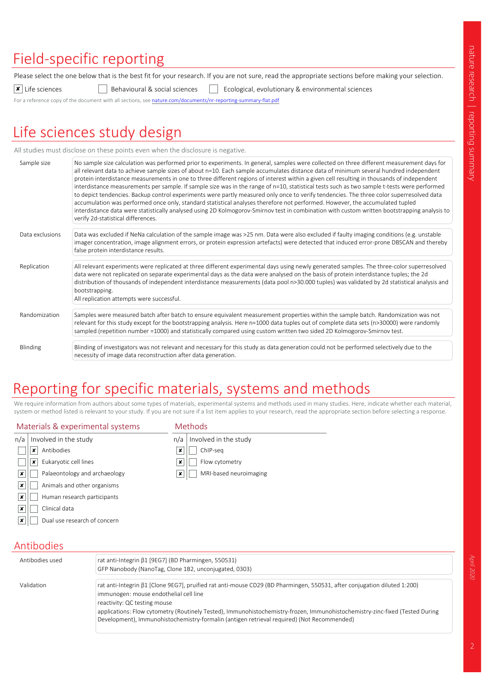## Field-specific reporting

Please select the one below that is the best fit for your research. If you are not sure, read the appropriate sections before making your selection.

 $\boxed{\mathbf{x}}$  Life sciences **Behavioural & social sciences** Ecological, evolutionary & environmental sciences

For a reference copy of the document with all sections, see nature.com/documents/nr-reporting-summary-flat.pdf

## Life sciences study design

All studies must disclose on these points even when the disclosure is negative.

| Sample size     | No sample size calculation was performed prior to experiments. In general, samples were collected on three different measurement days for<br>all relevant data to achieve sample sizes of about n=10. Each sample accumulates distance data of minimum several hundred independent<br>protein interdistance measurements in one to three different regions of interest within a given cell resulting in thousands of independent<br>interdistance measurements per sample. If sample size was in the range of n=10, statistical tests such as two sample t-tests were performed<br>to depict tendencies. Backup control experiments were partly measured only once to verify tendencies. The three color superresolved data<br>accumulation was performed once only, standard statistical analyses therefore not performed. However, the accumulated tupled<br>interdistance data were statistically analysed using 2D Kolmogorov-Smirnov test in combination with custom written bootstrapping analysis to<br>verify 2d-statistical differences. |
|-----------------|---------------------------------------------------------------------------------------------------------------------------------------------------------------------------------------------------------------------------------------------------------------------------------------------------------------------------------------------------------------------------------------------------------------------------------------------------------------------------------------------------------------------------------------------------------------------------------------------------------------------------------------------------------------------------------------------------------------------------------------------------------------------------------------------------------------------------------------------------------------------------------------------------------------------------------------------------------------------------------------------------------------------------------------------------|
| Data exclusions | Data was excluded if NeNa calculation of the sample image was >25 nm. Data were also excluded if faulty imaging conditions (e.g. unstable<br>imager concentration, image alignment errors, or protein expression artefacts) were detected that induced error-prone DBSCAN and thereby<br>false protein interdistance results.                                                                                                                                                                                                                                                                                                                                                                                                                                                                                                                                                                                                                                                                                                                     |
| Replication     | All relevant experiments were replicated at three different experimental days using newly generated samples. The three-color superresolved<br>data were not replicated on separate experimental days as the data were analysed on the basis of protein interdistance tuples; the 2d<br>distribution of thousands of independent interdistance measurements (data pool n>30.000 tuples) was validated by 2d statistical analysis and<br>bootstrapping.<br>All replication attempts were successful.                                                                                                                                                                                                                                                                                                                                                                                                                                                                                                                                                |
| Randomization   | Samples were measured batch after batch to ensure equivalent measurement properties within the sample batch. Randomization was not<br>relevant for this study except for the bootstrapping analysis. Here n=1000 data tuples out of complete data sets (n>30000) were randomly<br>sampled (repetition number =1000) and statistically compared using custom written two sided 2D Kolmogorov-Smirnov test.                                                                                                                                                                                                                                                                                                                                                                                                                                                                                                                                                                                                                                         |
| Blinding        | Blinding of investigators was not relevant and necessary for this study as data generation could not be performed selectively due to the<br>necessity of image data reconstruction after data generation.                                                                                                                                                                                                                                                                                                                                                                                                                                                                                                                                                                                                                                                                                                                                                                                                                                         |

## Reporting for specific materials, systems and methods

We require information from authors about some types of materials, experimental systems and methods used in many studies. Here, indicate whether each material, system or method listed is relevant to your study. If you are not sure if a list item applies to your research, read the appropriate section before selecting a response.

| Materials & experimental systems                         | <b>Methods</b>               |  |
|----------------------------------------------------------|------------------------------|--|
| Involved in the study<br>n/a                             | Involved in the study<br>n/a |  |
| Antibodies<br>x                                          | ChIP-seg<br>×                |  |
| Eukaryotic cell lines<br>×                               | Flow cytometry<br>×          |  |
| Palaeontology and archaeology<br>×                       | MRI-based neuroimaging<br>x  |  |
| $\pmb{\times}$<br>Animals and other organisms            |                              |  |
| $\boldsymbol{\mathsf{x}}$<br>Human research participants |                              |  |
| Clinical data<br>×                                       |                              |  |
| Dual use research of concern<br>×                        |                              |  |

#### Antibodies

| Antibodies used | rat anti-Integrin β1 [9EG7] (BD Pharmingen, 550531)<br>GFP Nanobody (NanoTag, Clone 1B2, unconjugated, 0303)                                                                                                                                                                                                                                                                                                                     |
|-----------------|----------------------------------------------------------------------------------------------------------------------------------------------------------------------------------------------------------------------------------------------------------------------------------------------------------------------------------------------------------------------------------------------------------------------------------|
| Validation      | rat anti-Integrin β1 [Clone 9EG7], pruified rat anti-mouse CD29 (BD Pharmingen, 550531, after conjugation diluted 1:200)<br>immunogen: mouse endothelial cell line<br>reactivity: QC testing mouse<br>applications: Flow cytometry (Routinely Tested), Immunohistochemistry-frozen, Immunohistochemistry-zinc-fixed (Tested During<br>Development), Immunohistochemistry-formalin (antigen retrieval required) (Not Recommended) |